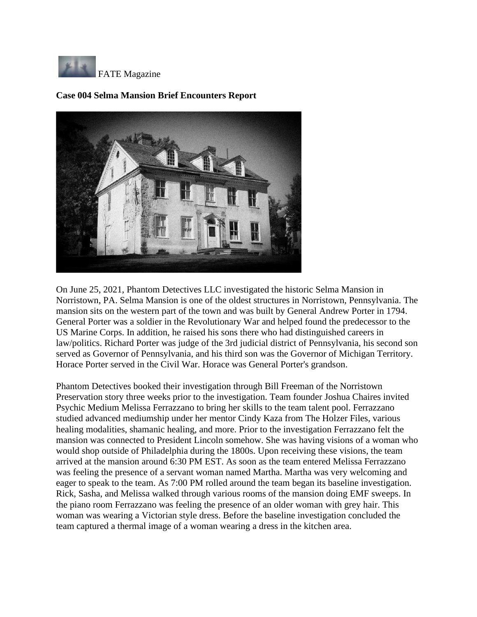

## **Case 004 Selma Mansion Brief Encounters Report**



On June 25, 2021, Phantom Detectives LLC investigated the historic Selma Mansion in Norristown, PA. Selma Mansion is one of the oldest structures in Norristown, Pennsylvania. The mansion sits on the western part of the town and was built by General Andrew Porter in 1794. General Porter was a soldier in the Revolutionary War and helped found the predecessor to the US Marine Corps. In addition, he raised his sons there who had distinguished careers in law/politics. Richard Porter was judge of the 3rd judicial district of Pennsylvania, his second son served as Governor of Pennsylvania, and his third son was the Governor of Michigan Territory. Horace Porter served in the Civil War. Horace was General Porter's grandson.

Phantom Detectives booked their investigation through Bill Freeman of the Norristown Preservation story three weeks prior to the investigation. Team founder Joshua Chaires invited Psychic Medium Melissa Ferrazzano to bring her skills to the team talent pool. Ferrazzano studied advanced mediumship under her mentor Cindy Kaza from The Holzer Files, various healing modalities, shamanic healing, and more. Prior to the investigation Ferrazzano felt the mansion was connected to President Lincoln somehow. She was having visions of a woman who would shop outside of Philadelphia during the 1800s. Upon receiving these visions, the team arrived at the mansion around 6:30 PM EST. As soon as the team entered Melissa Ferrazzano was feeling the presence of a servant woman named Martha. Martha was very welcoming and eager to speak to the team. As 7:00 PM rolled around the team began its baseline investigation. Rick, Sasha, and Melissa walked through various rooms of the mansion doing EMF sweeps. In the piano room Ferrazzano was feeling the presence of an older woman with grey hair. This woman was wearing a Victorian style dress. Before the baseline investigation concluded the team captured a thermal image of a woman wearing a dress in the kitchen area.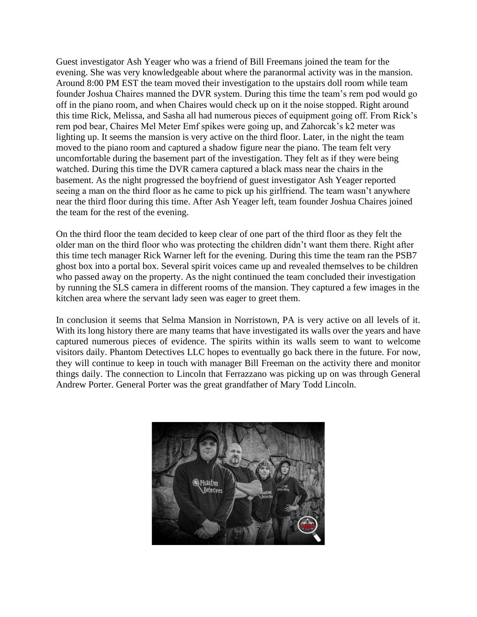Guest investigator Ash Yeager who was a friend of Bill Freemans joined the team for the evening. She was very knowledgeable about where the paranormal activity was in the mansion. Around 8:00 PM EST the team moved their investigation to the upstairs doll room while team founder Joshua Chaires manned the DVR system. During this time the team's rem pod would go off in the piano room, and when Chaires would check up on it the noise stopped. Right around this time Rick, Melissa, and Sasha all had numerous pieces of equipment going off. From Rick's rem pod bear, Chaires Mel Meter Emf spikes were going up, and Zahorcak's k2 meter was lighting up. It seems the mansion is very active on the third floor. Later, in the night the team moved to the piano room and captured a shadow figure near the piano. The team felt very uncomfortable during the basement part of the investigation. They felt as if they were being watched. During this time the DVR camera captured a black mass near the chairs in the basement. As the night progressed the boyfriend of guest investigator Ash Yeager reported seeing a man on the third floor as he came to pick up his girlfriend. The team wasn't anywhere near the third floor during this time. After Ash Yeager left, team founder Joshua Chaires joined the team for the rest of the evening.

On the third floor the team decided to keep clear of one part of the third floor as they felt the older man on the third floor who was protecting the children didn't want them there. Right after this time tech manager Rick Warner left for the evening. During this time the team ran the PSB7 ghost box into a portal box. Several spirit voices came up and revealed themselves to be children who passed away on the property. As the night continued the team concluded their investigation by running the SLS camera in different rooms of the mansion. They captured a few images in the kitchen area where the servant lady seen was eager to greet them.

In conclusion it seems that Selma Mansion in Norristown, PA is very active on all levels of it. With its long history there are many teams that have investigated its walls over the years and have captured numerous pieces of evidence. The spirits within its walls seem to want to welcome visitors daily. Phantom Detectives LLC hopes to eventually go back there in the future. For now, they will continue to keep in touch with manager Bill Freeman on the activity there and monitor things daily. The connection to Lincoln that Ferrazzano was picking up on was through General Andrew Porter. General Porter was the great grandfather of Mary Todd Lincoln.